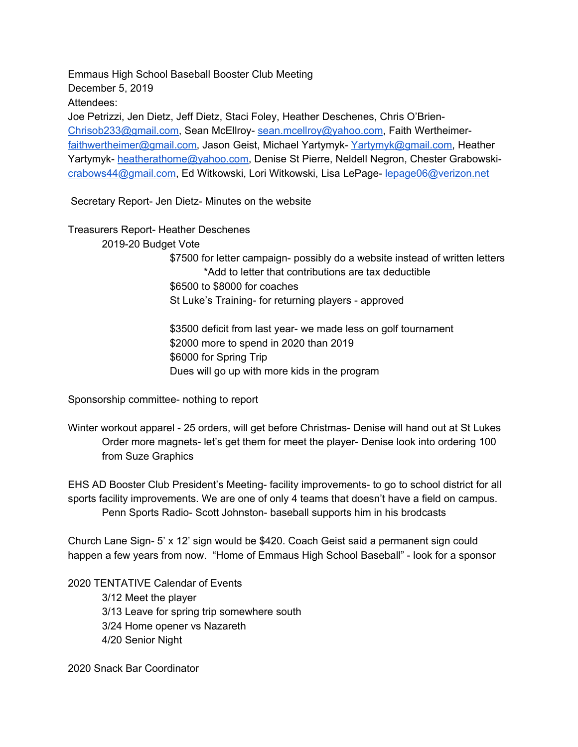Emmaus High School Baseball Booster Club Meeting December 5, 2019 Attendees: Joe Petrizzi, Jen Dietz, Jeff Dietz, Staci Foley, Heather Deschenes, Chris O'Brien-[Chrisob233@gmail.com,](mailto:Chrisob233@gmail.com) Sean McEllroy- [sean.mcellroy@yahoo.com,](mailto:sean.mcellroy@yahoo.com) Faith Wertheimer[faithwertheimer@gmail.com](mailto:faithwertheimer@gmail.com), Jason Geist, Michael Yartymyk- [Yartymyk@gmail.com](mailto:Yartymyk@gmail.com), Heather Yartymyk- [heatherathome@yahoo.com](mailto:heatherathome@yahoo.com), Denise St Pierre, Neldell Negron, Chester Grabowski[crabows44@gmail.com,](mailto:crabows44@gmail.com) Ed Witkowski, Lori Witkowski, Lisa LePage- [lepage06@verizon.net](mailto:lepage06@verizon.net)

Secretary Report- Jen Dietz- Minutes on the website

Treasurers Report- Heather Deschenes 2019-20 Budget Vote \$7500 for letter campaign- possibly do a website instead of written letters \*Add to letter that contributions are tax deductible \$6500 to \$8000 for coaches St Luke's Training- for returning players - approved \$3500 deficit from last year- we made less on golf tournament

\$2000 more to spend in 2020 than 2019 \$6000 for Spring Trip

Dues will go up with more kids in the program

Sponsorship committee- nothing to report

Winter workout apparel - 25 orders, will get before Christmas- Denise will hand out at St Lukes Order more magnets- let's get them for meet the player- Denise look into ordering 100 from Suze Graphics

EHS AD Booster Club President's Meeting- facility improvements- to go to school district for all sports facility improvements. We are one of only 4 teams that doesn't have a field on campus. Penn Sports Radio- Scott Johnston- baseball supports him in his brodcasts

Church Lane Sign- 5' x 12' sign would be \$420. Coach Geist said a permanent sign could happen a few years from now. "Home of Emmaus High School Baseball" - look for a sponsor

2020 TENTATIVE Calendar of Events 3/12 Meet the player 3/13 Leave for spring trip somewhere south 3/24 Home opener vs Nazareth 4/20 Senior Night

2020 Snack Bar Coordinator